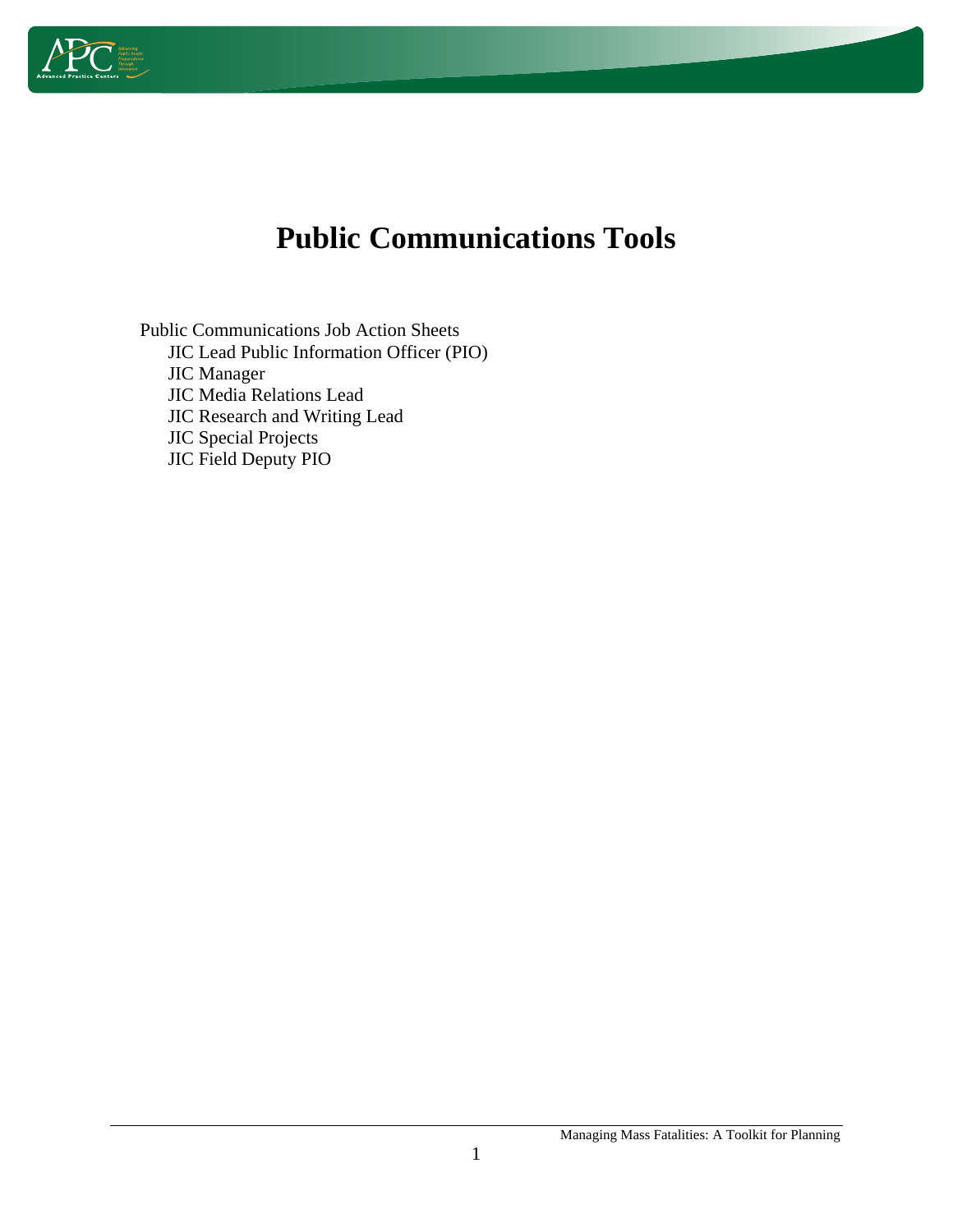

# **Public Communications Tools**

Public Communications Job Action Sheets JIC Lead Public Information Officer (PIO) JIC Manager JIC Media Relations Lead JIC Research and Writing Lead JIC Special Projects JIC Field Deputy PIO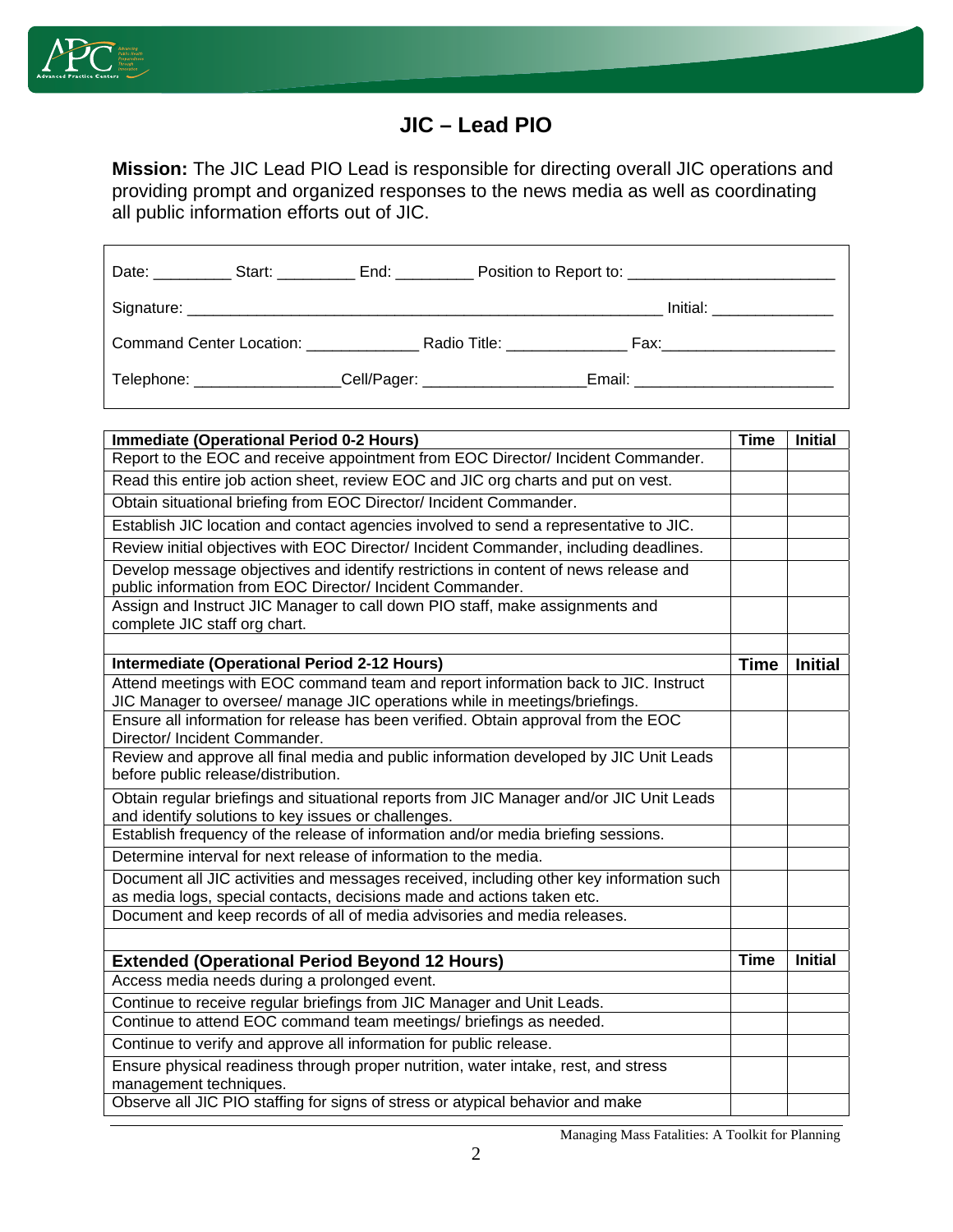

r

#### **JIC – Lead PIO**

**Mission:** The JIC Lead PIO Lead is responsible for directing overall JIC operations and providing prompt and organized responses to the news media as well as coordinating all public information efforts out of JIC.

|                                 | End: _________                 |                                     |                                   |
|---------------------------------|--------------------------------|-------------------------------------|-----------------------------------|
|                                 |                                |                                     | $Initial: ____________$           |
| <b>Command Center Location:</b> |                                | Radio Title: <u>_______________</u> | Fax:________________________      |
| Telephone: _______________      | _Cell/Pager: _________________ |                                     | Email: __________________________ |

| <b>Immediate (Operational Period 0-2 Hours)</b>                                                                                                                   | <b>Time</b> | <b>Initial</b> |
|-------------------------------------------------------------------------------------------------------------------------------------------------------------------|-------------|----------------|
| Report to the EOC and receive appointment from EOC Director/ Incident Commander.                                                                                  |             |                |
| Read this entire job action sheet, review EOC and JIC org charts and put on vest.                                                                                 |             |                |
| Obtain situational briefing from EOC Director/ Incident Commander.                                                                                                |             |                |
| Establish JIC location and contact agencies involved to send a representative to JIC.                                                                             |             |                |
| Review initial objectives with EOC Director/ Incident Commander, including deadlines.                                                                             |             |                |
| Develop message objectives and identify restrictions in content of news release and<br>public information from EOC Director/ Incident Commander.                  |             |                |
| Assign and Instruct JIC Manager to call down PIO staff, make assignments and<br>complete JIC staff org chart.                                                     |             |                |
|                                                                                                                                                                   |             |                |
| <b>Intermediate (Operational Period 2-12 Hours)</b>                                                                                                               | <b>Time</b> | <b>Initial</b> |
| Attend meetings with EOC command team and report information back to JIC. Instruct<br>JIC Manager to oversee/ manage JIC operations while in meetings/briefings.  |             |                |
| Ensure all information for release has been verified. Obtain approval from the EOC<br>Director/ Incident Commander.                                               |             |                |
| Review and approve all final media and public information developed by JIC Unit Leads<br>before public release/distribution.                                      |             |                |
| Obtain regular briefings and situational reports from JIC Manager and/or JIC Unit Leads<br>and identify solutions to key issues or challenges.                    |             |                |
| Establish frequency of the release of information and/or media briefing sessions.                                                                                 |             |                |
| Determine interval for next release of information to the media.                                                                                                  |             |                |
| Document all JIC activities and messages received, including other key information such<br>as media logs, special contacts, decisions made and actions taken etc. |             |                |
| Document and keep records of all of media advisories and media releases.                                                                                          |             |                |
|                                                                                                                                                                   |             |                |
| <b>Extended (Operational Period Beyond 12 Hours)</b>                                                                                                              | <b>Time</b> | <b>Initial</b> |
| Access media needs during a prolonged event.                                                                                                                      |             |                |
| Continue to receive regular briefings from JIC Manager and Unit Leads.                                                                                            |             |                |
| Continue to attend EOC command team meetings/ briefings as needed.                                                                                                |             |                |
| Continue to verify and approve all information for public release.                                                                                                |             |                |
| Ensure physical readiness through proper nutrition, water intake, rest, and stress<br>management techniques.                                                      |             |                |
| Observe all JIC PIO staffing for signs of stress or atypical behavior and make                                                                                    |             |                |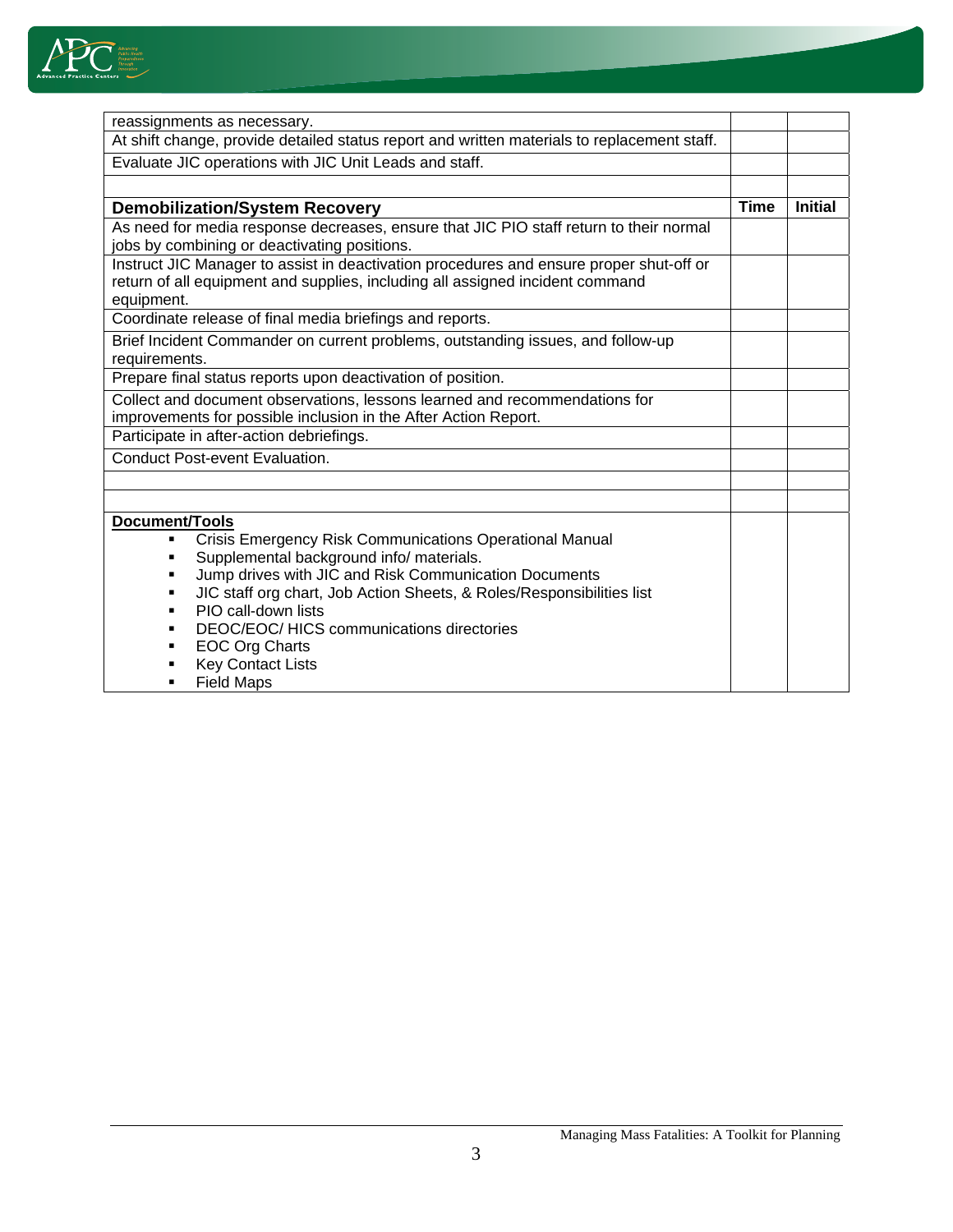

| reassignments as necessary.                                                                 |             |                |
|---------------------------------------------------------------------------------------------|-------------|----------------|
| At shift change, provide detailed status report and written materials to replacement staff. |             |                |
| Evaluate JIC operations with JIC Unit Leads and staff.                                      |             |                |
|                                                                                             |             |                |
| <b>Demobilization/System Recovery</b>                                                       | <b>Time</b> | <b>Initial</b> |
| As need for media response decreases, ensure that JIC PIO staff return to their normal      |             |                |
| jobs by combining or deactivating positions.                                                |             |                |
| Instruct JIC Manager to assist in deactivation procedures and ensure proper shut-off or     |             |                |
| return of all equipment and supplies, including all assigned incident command               |             |                |
| equipment.                                                                                  |             |                |
| Coordinate release of final media briefings and reports.                                    |             |                |
| Brief Incident Commander on current problems, outstanding issues, and follow-up             |             |                |
| requirements.                                                                               |             |                |
| Prepare final status reports upon deactivation of position.                                 |             |                |
| Collect and document observations, lessons learned and recommendations for                  |             |                |
| improvements for possible inclusion in the After Action Report.                             |             |                |
| Participate in after-action debriefings.                                                    |             |                |
| <b>Conduct Post-event Evaluation.</b>                                                       |             |                |
|                                                                                             |             |                |
|                                                                                             |             |                |
| Document/Tools                                                                              |             |                |
| <b>Crisis Emergency Risk Communications Operational Manual</b>                              |             |                |
| Supplemental background info/ materials.                                                    |             |                |
| Jump drives with JIC and Risk Communication Documents<br>٠                                  |             |                |
| JIC staff org chart, Job Action Sheets, & Roles/Responsibilities list<br>٠                  |             |                |
| PIO call-down lists<br>٠                                                                    |             |                |
| DEOC/EOC/ HICS communications directories<br>٠                                              |             |                |
| <b>EOC Org Charts</b>                                                                       |             |                |
| <b>Key Contact Lists</b>                                                                    |             |                |
| <b>Field Maps</b>                                                                           |             |                |

**Field Maps**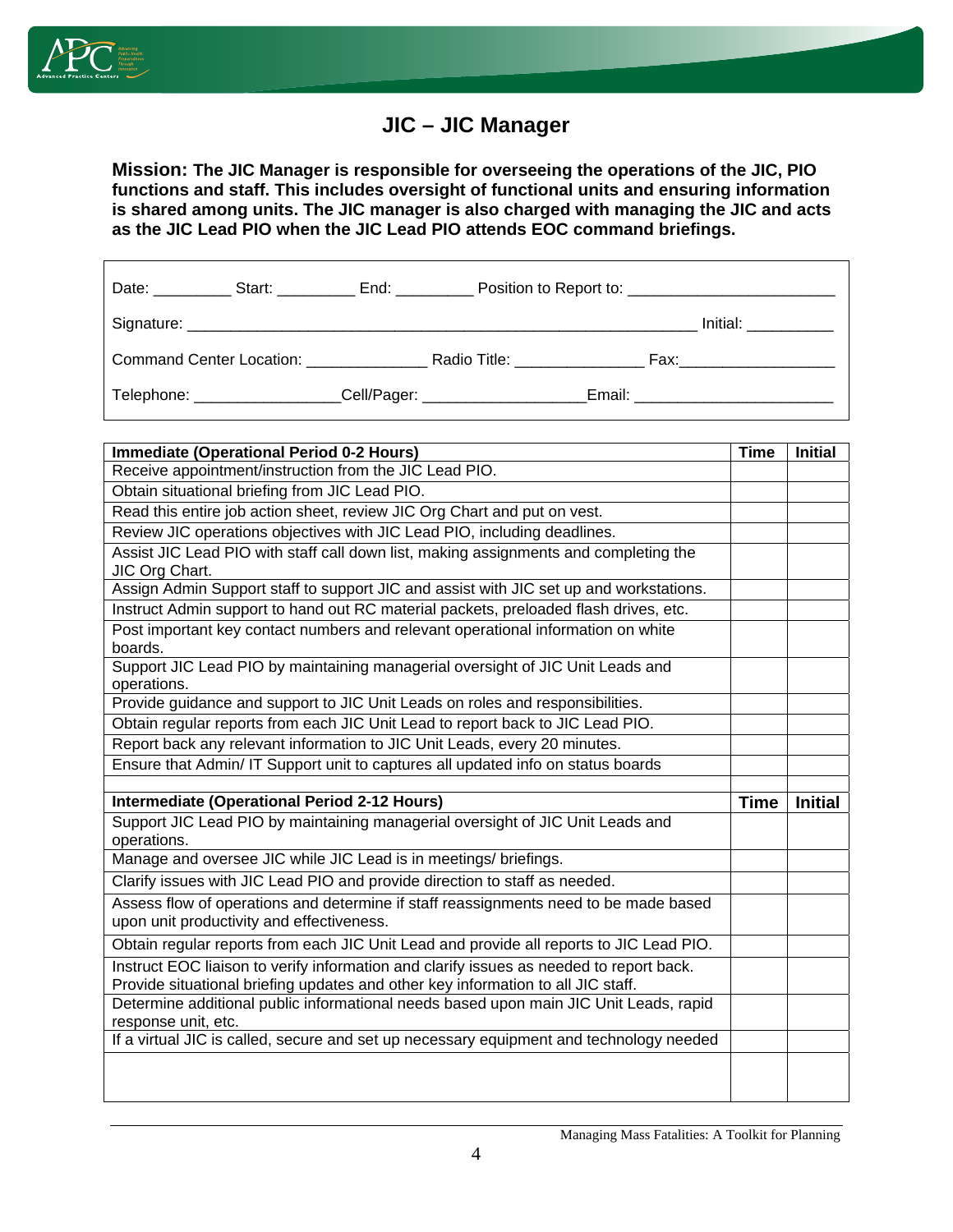

## **JIC – JIC Manager**

**Mission: The JIC Manager is responsible for overseeing the operations of the JIC, PIO functions and staff. This includes oversight of functional units and ensuring information is shared among units. The JIC manager is also charged with managing the JIC and acts as the JIC Lead PIO when the JIC Lead PIO attends EOC command briefings.**

| Date: Start: End:           |  |                                                    |  |                           |
|-----------------------------|--|----------------------------------------------------|--|---------------------------|
|                             |  |                                                    |  | Initial: ___________      |
|                             |  | Command Center Location: Radio Title: Radio Title: |  | Fax:_____________________ |
| Telephone: ________________ |  | _Cell/Pager: _________________                     |  |                           |

| <b>Immediate (Operational Period 0-2 Hours)</b>                                                                                   | <b>Time</b> | <b>Initial</b> |
|-----------------------------------------------------------------------------------------------------------------------------------|-------------|----------------|
| Receive appointment/instruction from the JIC Lead PIO.                                                                            |             |                |
| Obtain situational briefing from JIC Lead PIO.                                                                                    |             |                |
| Read this entire job action sheet, review JIC Org Chart and put on vest.                                                          |             |                |
| Review JIC operations objectives with JIC Lead PIO, including deadlines.                                                          |             |                |
| Assist JIC Lead PIO with staff call down list, making assignments and completing the                                              |             |                |
| JIC Org Chart.                                                                                                                    |             |                |
| Assign Admin Support staff to support JIC and assist with JIC set up and workstations.                                            |             |                |
| Instruct Admin support to hand out RC material packets, preloaded flash drives, etc.                                              |             |                |
| Post important key contact numbers and relevant operational information on white                                                  |             |                |
| boards.                                                                                                                           |             |                |
| Support JIC Lead PIO by maintaining managerial oversight of JIC Unit Leads and                                                    |             |                |
| operations.                                                                                                                       |             |                |
| Provide guidance and support to JIC Unit Leads on roles and responsibilities.                                                     |             |                |
| Obtain regular reports from each JIC Unit Lead to report back to JIC Lead PIO.                                                    |             |                |
| Report back any relevant information to JIC Unit Leads, every 20 minutes.                                                         |             |                |
| Ensure that Admin/ IT Support unit to captures all updated info on status boards                                                  |             |                |
| <b>Intermediate (Operational Period 2-12 Hours)</b>                                                                               | <b>Time</b> | <b>Initial</b> |
| Support JIC Lead PIO by maintaining managerial oversight of JIC Unit Leads and                                                    |             |                |
| operations.                                                                                                                       |             |                |
| Manage and oversee JIC while JIC Lead is in meetings/ briefings.                                                                  |             |                |
| Clarify issues with JIC Lead PIO and provide direction to staff as needed.                                                        |             |                |
|                                                                                                                                   |             |                |
|                                                                                                                                   |             |                |
| Assess flow of operations and determine if staff reassignments need to be made based<br>upon unit productivity and effectiveness. |             |                |
| Obtain regular reports from each JIC Unit Lead and provide all reports to JIC Lead PIO.                                           |             |                |
| Instruct EOC liaison to verify information and clarify issues as needed to report back.                                           |             |                |
| Provide situational briefing updates and other key information to all JIC staff.                                                  |             |                |
| Determine additional public informational needs based upon main JIC Unit Leads, rapid                                             |             |                |
| response unit, etc.                                                                                                               |             |                |
| If a virtual JIC is called, secure and set up necessary equipment and technology needed                                           |             |                |
|                                                                                                                                   |             |                |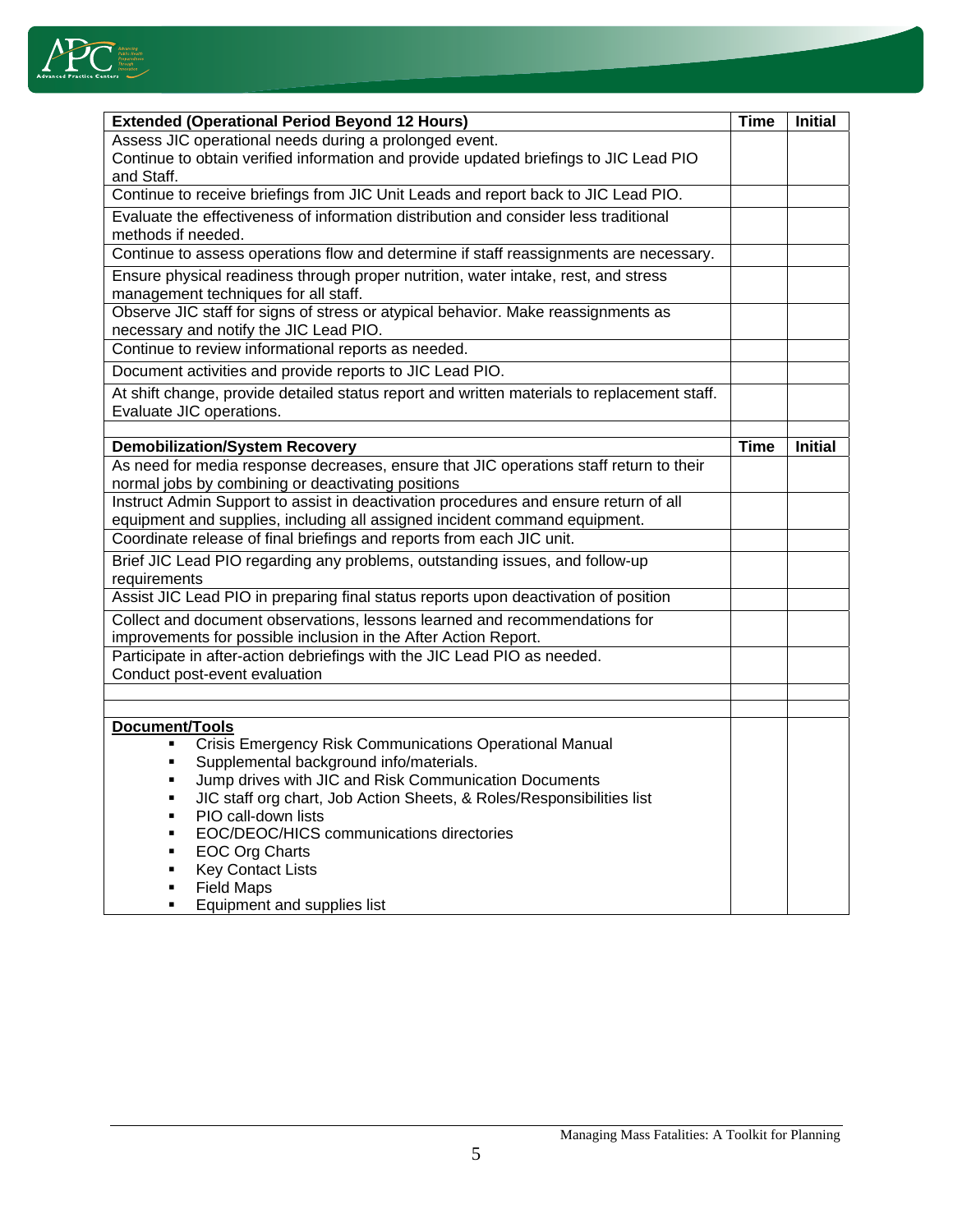

| <b>Extended (Operational Period Beyond 12 Hours)</b>                                                                                         | <b>Time</b> | <b>Initial</b> |
|----------------------------------------------------------------------------------------------------------------------------------------------|-------------|----------------|
| Assess JIC operational needs during a prolonged event.                                                                                       |             |                |
| Continue to obtain verified information and provide updated briefings to JIC Lead PIO<br>and Staff.                                          |             |                |
| Continue to receive briefings from JIC Unit Leads and report back to JIC Lead PIO.                                                           |             |                |
| Evaluate the effectiveness of information distribution and consider less traditional                                                         |             |                |
| methods if needed.                                                                                                                           |             |                |
| Continue to assess operations flow and determine if staff reassignments are necessary.                                                       |             |                |
| Ensure physical readiness through proper nutrition, water intake, rest, and stress<br>management techniques for all staff.                   |             |                |
| Observe JIC staff for signs of stress or atypical behavior. Make reassignments as                                                            |             |                |
| necessary and notify the JIC Lead PIO.                                                                                                       |             |                |
| Continue to review informational reports as needed.                                                                                          |             |                |
| Document activities and provide reports to JIC Lead PIO.                                                                                     |             |                |
| At shift change, provide detailed status report and written materials to replacement staff.<br>Evaluate JIC operations.                      |             |                |
|                                                                                                                                              |             |                |
| <b>Demobilization/System Recovery</b>                                                                                                        | <b>Time</b> | <b>Initial</b> |
| As need for media response decreases, ensure that JIC operations staff return to their<br>normal jobs by combining or deactivating positions |             |                |
| Instruct Admin Support to assist in deactivation procedures and ensure return of all                                                         |             |                |
| equipment and supplies, including all assigned incident command equipment.                                                                   |             |                |
| Coordinate release of final briefings and reports from each JIC unit.                                                                        |             |                |
| Brief JIC Lead PIO regarding any problems, outstanding issues, and follow-up<br>requirements                                                 |             |                |
| Assist JIC Lead PIO in preparing final status reports upon deactivation of position                                                          |             |                |
| Collect and document observations, lessons learned and recommendations for                                                                   |             |                |
| improvements for possible inclusion in the After Action Report.                                                                              |             |                |
| Participate in after-action debriefings with the JIC Lead PIO as needed.<br>Conduct post-event evaluation                                    |             |                |
|                                                                                                                                              |             |                |
|                                                                                                                                              |             |                |
| Document/Tools<br>Crisis Emergency Risk Communications Operational Manual                                                                    |             |                |
| Supplemental background info/materials.<br>п                                                                                                 |             |                |
| Jump drives with JIC and Risk Communication Documents                                                                                        |             |                |
| JIC staff org chart, Job Action Sheets, & Roles/Responsibilities list<br>٠                                                                   |             |                |
| PIO call-down lists<br>$\blacksquare$                                                                                                        |             |                |
| EOC/DEOC/HICS communications directories                                                                                                     |             |                |
| <b>EOC Org Charts</b><br>п                                                                                                                   |             |                |
| <b>Key Contact Lists</b><br>×,                                                                                                               |             |                |
| <b>Field Maps</b>                                                                                                                            |             |                |
| Equipment and supplies list                                                                                                                  |             |                |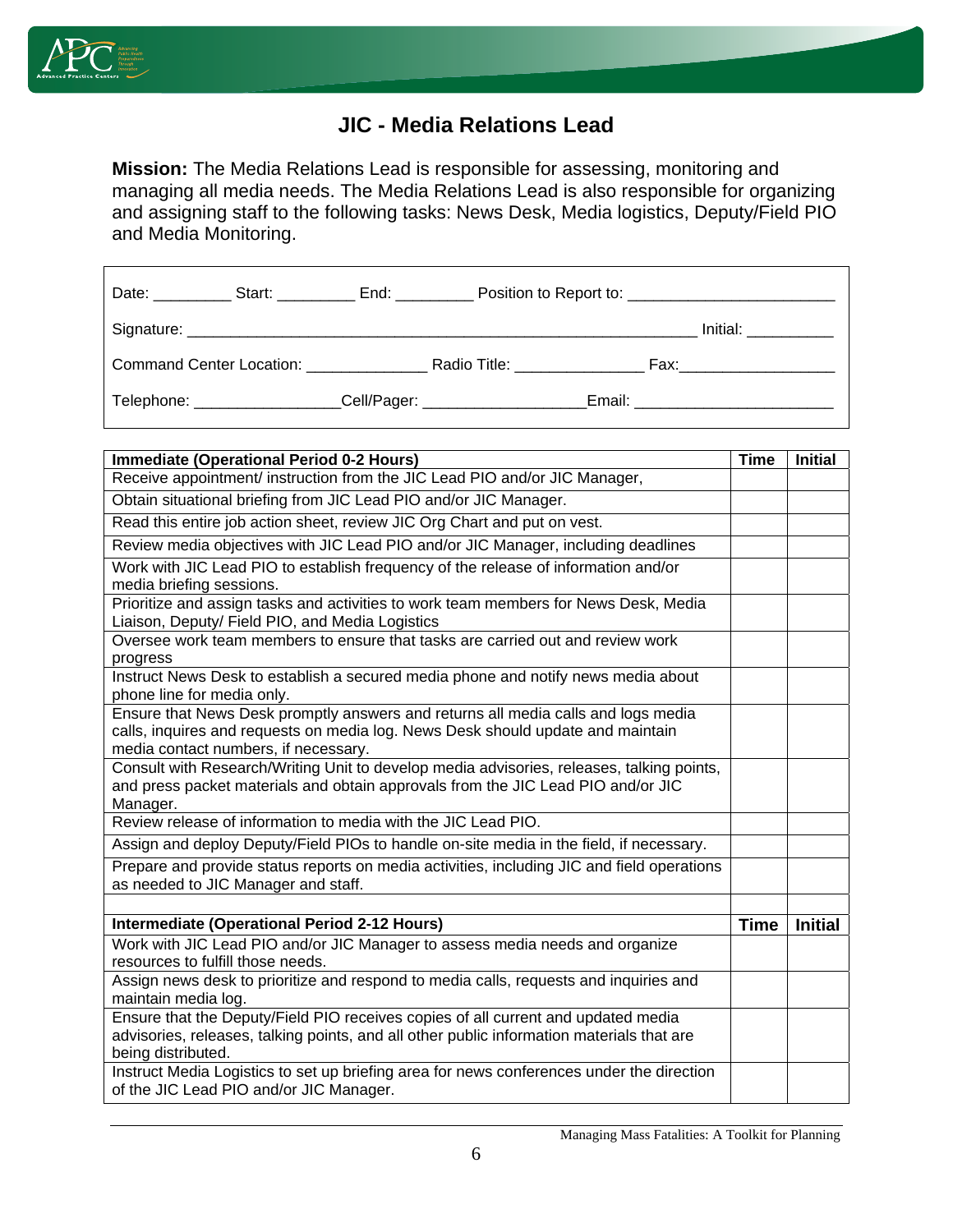

#### **JIC - Media Relations Lead**

**Mission:** The Media Relations Lead is responsible for assessing, monitoring and managing all media needs. The Media Relations Lead is also responsible for organizing and assigning staff to the following tasks: News Desk, Media logistics, Deputy/Field PIO and Media Monitoring.

|                                                    |  | Initial: ___________                   |
|----------------------------------------------------|--|----------------------------------------|
| Command Center Location: Radio Title: Radio Title: |  | Fax:_____________________              |
|                                                    |  | Email: _______________________________ |

| <b>Immediate (Operational Period 0-2 Hours)</b>                                                                                                                                                              | Time        | <b>Initial</b> |
|--------------------------------------------------------------------------------------------------------------------------------------------------------------------------------------------------------------|-------------|----------------|
| Receive appointment/ instruction from the JIC Lead PIO and/or JIC Manager,                                                                                                                                   |             |                |
| Obtain situational briefing from JIC Lead PIO and/or JIC Manager.                                                                                                                                            |             |                |
| Read this entire job action sheet, review JIC Org Chart and put on vest.                                                                                                                                     |             |                |
| Review media objectives with JIC Lead PIO and/or JIC Manager, including deadlines                                                                                                                            |             |                |
| Work with JIC Lead PIO to establish frequency of the release of information and/or<br>media briefing sessions.                                                                                               |             |                |
| Prioritize and assign tasks and activities to work team members for News Desk, Media<br>Liaison, Deputy/ Field PIO, and Media Logistics                                                                      |             |                |
| Oversee work team members to ensure that tasks are carried out and review work<br>progress                                                                                                                   |             |                |
| Instruct News Desk to establish a secured media phone and notify news media about<br>phone line for media only.                                                                                              |             |                |
| Ensure that News Desk promptly answers and returns all media calls and logs media<br>calls, inquires and requests on media log. News Desk should update and maintain<br>media contact numbers, if necessary. |             |                |
| Consult with Research/Writing Unit to develop media advisories, releases, talking points,<br>and press packet materials and obtain approvals from the JIC Lead PIO and/or JIC<br>Manager.                    |             |                |
| Review release of information to media with the JIC Lead PIO.                                                                                                                                                |             |                |
| Assign and deploy Deputy/Field PIOs to handle on-site media in the field, if necessary.                                                                                                                      |             |                |
| Prepare and provide status reports on media activities, including JIC and field operations<br>as needed to JIC Manager and staff.                                                                            |             |                |
|                                                                                                                                                                                                              |             |                |
| <b>Intermediate (Operational Period 2-12 Hours)</b>                                                                                                                                                          | <b>Time</b> | <b>Initial</b> |
| Work with JIC Lead PIO and/or JIC Manager to assess media needs and organize<br>resources to fulfill those needs.                                                                                            |             |                |
| Assign news desk to prioritize and respond to media calls, requests and inquiries and<br>maintain media log.                                                                                                 |             |                |
| Ensure that the Deputy/Field PIO receives copies of all current and updated media<br>advisories, releases, talking points, and all other public information materials that are<br>being distributed.         |             |                |
| Instruct Media Logistics to set up briefing area for news conferences under the direction<br>of the JIC Lead PIO and/or JIC Manager.                                                                         |             |                |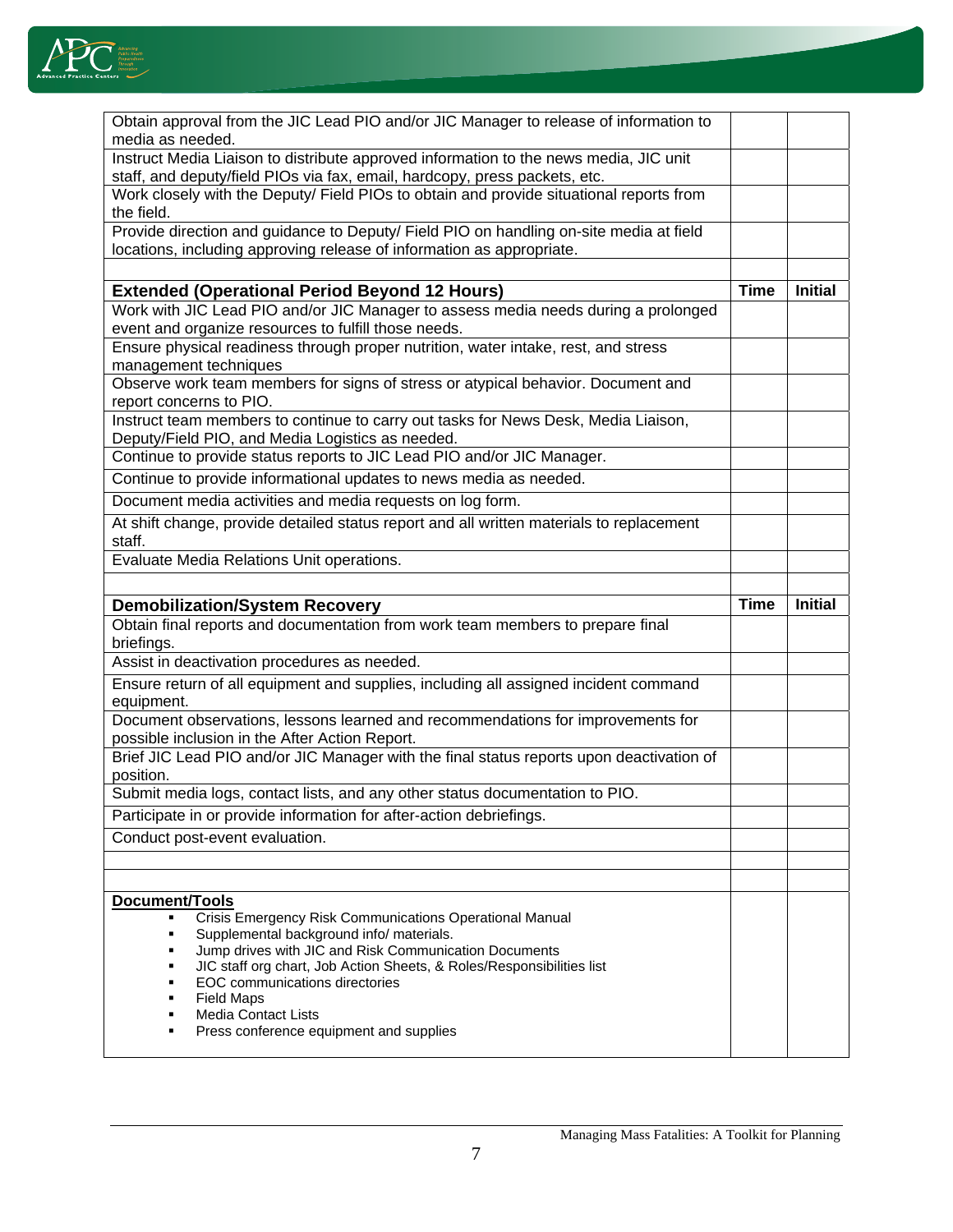

| Obtain approval from the JIC Lead PIO and/or JIC Manager to release of information to                                                                               |             |                |
|---------------------------------------------------------------------------------------------------------------------------------------------------------------------|-------------|----------------|
| media as needed.                                                                                                                                                    |             |                |
| Instruct Media Liaison to distribute approved information to the news media, JIC unit<br>staff, and deputy/field PIOs via fax, email, hardcopy, press packets, etc. |             |                |
| Work closely with the Deputy/ Field PIOs to obtain and provide situational reports from<br>the field.                                                               |             |                |
| Provide direction and guidance to Deputy/ Field PIO on handling on-site media at field                                                                              |             |                |
| locations, including approving release of information as appropriate.                                                                                               |             |                |
|                                                                                                                                                                     |             |                |
| <b>Extended (Operational Period Beyond 12 Hours)</b>                                                                                                                | <b>Time</b> | <b>Initial</b> |
| Work with JIC Lead PIO and/or JIC Manager to assess media needs during a prolonged<br>event and organize resources to fulfill those needs.                          |             |                |
| Ensure physical readiness through proper nutrition, water intake, rest, and stress                                                                                  |             |                |
| management techniques                                                                                                                                               |             |                |
| Observe work team members for signs of stress or atypical behavior. Document and<br>report concerns to PIO.                                                         |             |                |
| Instruct team members to continue to carry out tasks for News Desk, Media Liaison,<br>Deputy/Field PIO, and Media Logistics as needed.                              |             |                |
| Continue to provide status reports to JIC Lead PIO and/or JIC Manager.                                                                                              |             |                |
| Continue to provide informational updates to news media as needed.                                                                                                  |             |                |
| Document media activities and media requests on log form.                                                                                                           |             |                |
| At shift change, provide detailed status report and all written materials to replacement                                                                            |             |                |
| staff.                                                                                                                                                              |             |                |
| Evaluate Media Relations Unit operations.                                                                                                                           |             |                |
|                                                                                                                                                                     |             |                |
|                                                                                                                                                                     |             |                |
| <b>Demobilization/System Recovery</b>                                                                                                                               | <b>Time</b> | <b>Initial</b> |
| Obtain final reports and documentation from work team members to prepare final                                                                                      |             |                |
| briefings.                                                                                                                                                          |             |                |
| Assist in deactivation procedures as needed.                                                                                                                        |             |                |
| Ensure return of all equipment and supplies, including all assigned incident command<br>equipment.                                                                  |             |                |
| Document observations, lessons learned and recommendations for improvements for                                                                                     |             |                |
| possible inclusion in the After Action Report.<br>Brief JIC Lead PIO and/or JIC Manager with the final status reports upon deactivation of                          |             |                |
| position.                                                                                                                                                           |             |                |
| Submit media logs, contact lists, and any other status documentation to PIO.                                                                                        |             |                |
| Participate in or provide information for after-action debriefings.                                                                                                 |             |                |
| Conduct post-event evaluation.                                                                                                                                      |             |                |
|                                                                                                                                                                     |             |                |
|                                                                                                                                                                     |             |                |
| Document/Tools<br>Crisis Emergency Risk Communications Operational Manual<br>٠                                                                                      |             |                |
| Supplemental background info/ materials.<br>п                                                                                                                       |             |                |
| Jump drives with JIC and Risk Communication Documents<br>п                                                                                                          |             |                |
| JIC staff org chart, Job Action Sheets, & Roles/Responsibilities list<br>٠<br>EOC communications directories<br>٠                                                   |             |                |
| <b>Field Maps</b><br>п                                                                                                                                              |             |                |
| <b>Media Contact Lists</b><br>٠<br>Press conference equipment and supplies<br>٠                                                                                     |             |                |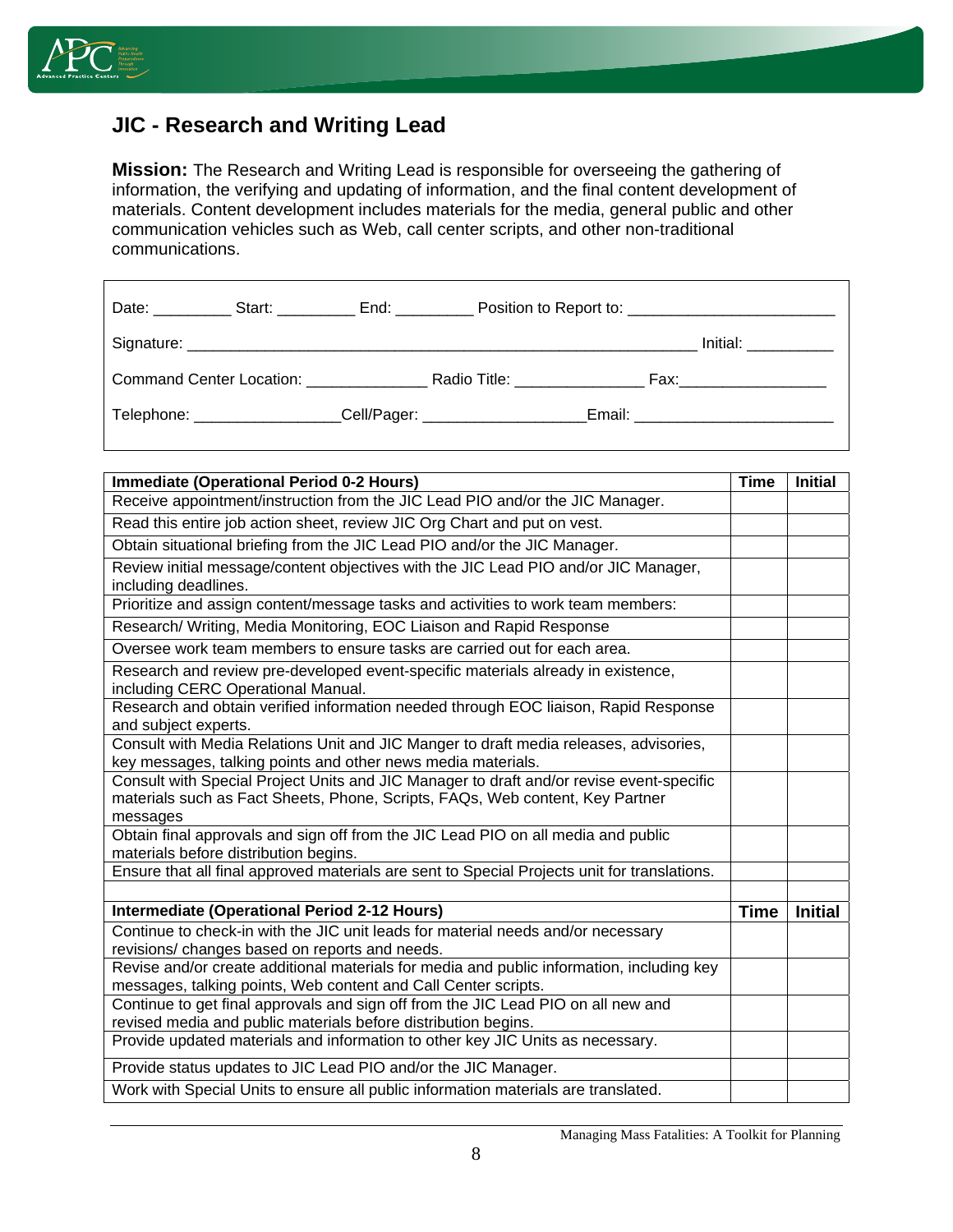

## **JIC - Research and Writing Lead**

**Mission:** The Research and Writing Lead is responsible for overseeing the gathering of information, the verifying and updating of information, and the final content development of materials. Content development includes materials for the media, general public and other communication vehicles such as Web, call center scripts, and other non-traditional communications.

|  |                                                                                                      | Date: Start: Start: End: Position to Report to: Charles Connection Connection Connection Connection Connection |
|--|------------------------------------------------------------------------------------------------------|----------------------------------------------------------------------------------------------------------------|
|  |                                                                                                      |                                                                                                                |
|  |                                                                                                      |                                                                                                                |
|  | Telephone: Cell/Pager: Cell - Contract - Cell - Contract - Cell - Contract - Contract - Contract - C | Email: _______________________________                                                                         |

| <b>Immediate (Operational Period 0-2 Hours)</b>                                                                                                                                       | <b>Time</b> | <b>Initial</b> |
|---------------------------------------------------------------------------------------------------------------------------------------------------------------------------------------|-------------|----------------|
| Receive appointment/instruction from the JIC Lead PIO and/or the JIC Manager.                                                                                                         |             |                |
| Read this entire job action sheet, review JIC Org Chart and put on vest.                                                                                                              |             |                |
| Obtain situational briefing from the JIC Lead PIO and/or the JIC Manager.                                                                                                             |             |                |
| Review initial message/content objectives with the JIC Lead PIO and/or JIC Manager,<br>including deadlines.                                                                           |             |                |
| Prioritize and assign content/message tasks and activities to work team members:                                                                                                      |             |                |
| Research/ Writing, Media Monitoring, EOC Liaison and Rapid Response                                                                                                                   |             |                |
| Oversee work team members to ensure tasks are carried out for each area.                                                                                                              |             |                |
| Research and review pre-developed event-specific materials already in existence,<br>including CERC Operational Manual.                                                                |             |                |
| Research and obtain verified information needed through EOC liaison, Rapid Response<br>and subject experts.                                                                           |             |                |
| Consult with Media Relations Unit and JIC Manger to draft media releases, advisories,<br>key messages, talking points and other news media materials.                                 |             |                |
| Consult with Special Project Units and JIC Manager to draft and/or revise event-specific<br>materials such as Fact Sheets, Phone, Scripts, FAQs, Web content, Key Partner<br>messages |             |                |
| Obtain final approvals and sign off from the JIC Lead PIO on all media and public<br>materials before distribution begins.                                                            |             |                |
| Ensure that all final approved materials are sent to Special Projects unit for translations.                                                                                          |             |                |
|                                                                                                                                                                                       |             |                |
| Intermediate (Operational Period 2-12 Hours)                                                                                                                                          | <b>Time</b> | <b>Initial</b> |
| Continue to check-in with the JIC unit leads for material needs and/or necessary<br>revisions/ changes based on reports and needs.                                                    |             |                |
| Revise and/or create additional materials for media and public information, including key<br>messages, talking points, Web content and Call Center scripts.                           |             |                |
| Continue to get final approvals and sign off from the JIC Lead PIO on all new and<br>revised media and public materials before distribution begins.                                   |             |                |
| Provide updated materials and information to other key JIC Units as necessary.                                                                                                        |             |                |
| Provide status updates to JIC Lead PIO and/or the JIC Manager.                                                                                                                        |             |                |
| Work with Special Units to ensure all public information materials are translated.                                                                                                    |             |                |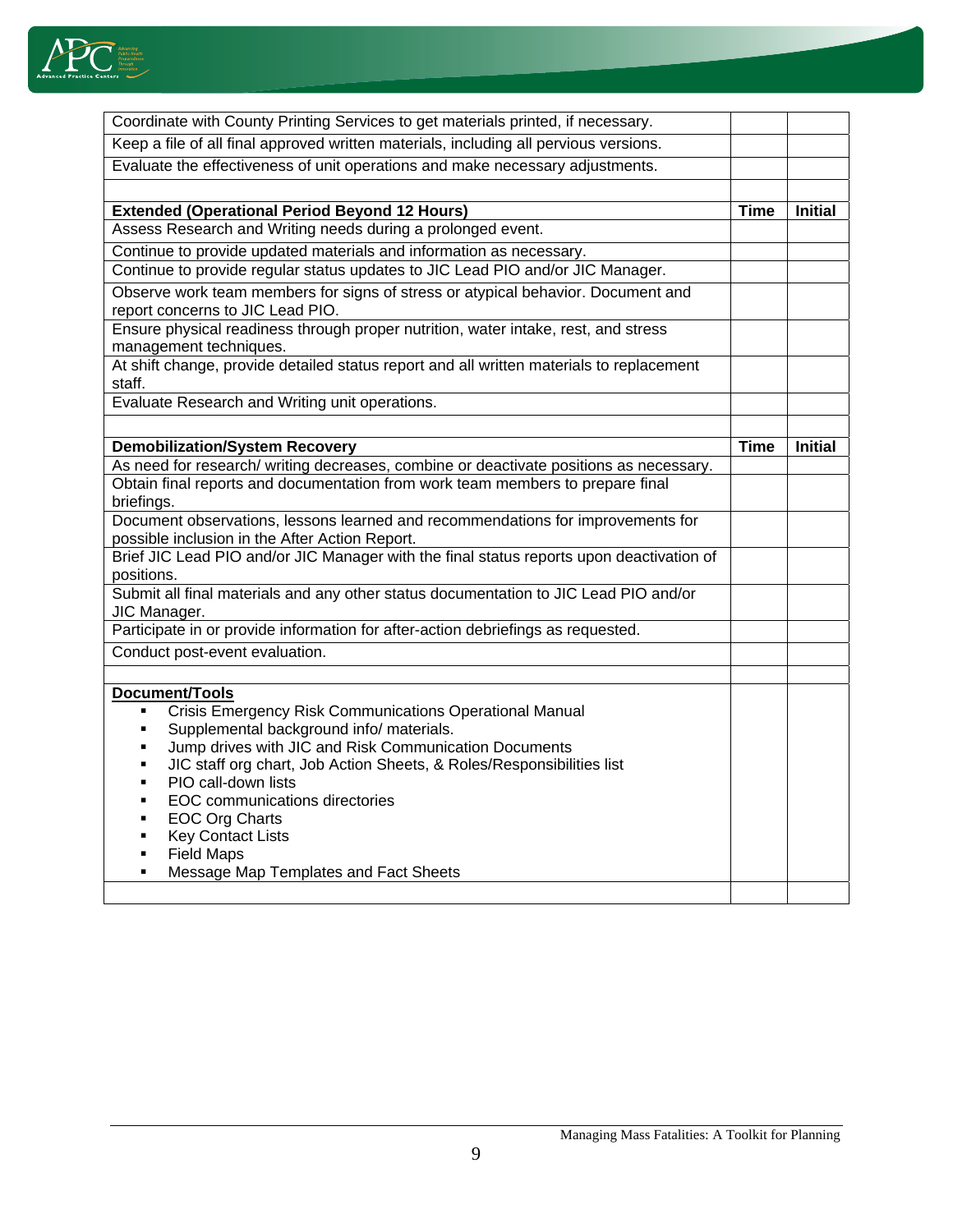

| Coordinate with County Printing Services to get materials printed, if necessary.                                                                                                                                                                                                                                                                                                                                                                                                                                        |             |                |
|-------------------------------------------------------------------------------------------------------------------------------------------------------------------------------------------------------------------------------------------------------------------------------------------------------------------------------------------------------------------------------------------------------------------------------------------------------------------------------------------------------------------------|-------------|----------------|
| Keep a file of all final approved written materials, including all pervious versions.                                                                                                                                                                                                                                                                                                                                                                                                                                   |             |                |
| Evaluate the effectiveness of unit operations and make necessary adjustments.                                                                                                                                                                                                                                                                                                                                                                                                                                           |             |                |
|                                                                                                                                                                                                                                                                                                                                                                                                                                                                                                                         |             |                |
| <b>Extended (Operational Period Beyond 12 Hours)</b>                                                                                                                                                                                                                                                                                                                                                                                                                                                                    | Time        | <b>Initial</b> |
| Assess Research and Writing needs during a prolonged event.                                                                                                                                                                                                                                                                                                                                                                                                                                                             |             |                |
| Continue to provide updated materials and information as necessary.                                                                                                                                                                                                                                                                                                                                                                                                                                                     |             |                |
| Continue to provide regular status updates to JIC Lead PIO and/or JIC Manager.                                                                                                                                                                                                                                                                                                                                                                                                                                          |             |                |
| Observe work team members for signs of stress or atypical behavior. Document and<br>report concerns to JIC Lead PIO.                                                                                                                                                                                                                                                                                                                                                                                                    |             |                |
| Ensure physical readiness through proper nutrition, water intake, rest, and stress<br>management techniques.                                                                                                                                                                                                                                                                                                                                                                                                            |             |                |
| At shift change, provide detailed status report and all written materials to replacement<br>staff.                                                                                                                                                                                                                                                                                                                                                                                                                      |             |                |
| Evaluate Research and Writing unit operations.                                                                                                                                                                                                                                                                                                                                                                                                                                                                          |             |                |
|                                                                                                                                                                                                                                                                                                                                                                                                                                                                                                                         |             |                |
| <b>Demobilization/System Recovery</b>                                                                                                                                                                                                                                                                                                                                                                                                                                                                                   | <b>Time</b> | <b>Initial</b> |
| As need for research/ writing decreases, combine or deactivate positions as necessary.                                                                                                                                                                                                                                                                                                                                                                                                                                  |             |                |
| Obtain final reports and documentation from work team members to prepare final                                                                                                                                                                                                                                                                                                                                                                                                                                          |             |                |
| briefings.                                                                                                                                                                                                                                                                                                                                                                                                                                                                                                              |             |                |
| Document observations, lessons learned and recommendations for improvements for<br>possible inclusion in the After Action Report.                                                                                                                                                                                                                                                                                                                                                                                       |             |                |
| Brief JIC Lead PIO and/or JIC Manager with the final status reports upon deactivation of                                                                                                                                                                                                                                                                                                                                                                                                                                |             |                |
| positions.                                                                                                                                                                                                                                                                                                                                                                                                                                                                                                              |             |                |
| Submit all final materials and any other status documentation to JIC Lead PIO and/or<br>JIC Manager.                                                                                                                                                                                                                                                                                                                                                                                                                    |             |                |
| Participate in or provide information for after-action debriefings as requested.                                                                                                                                                                                                                                                                                                                                                                                                                                        |             |                |
| Conduct post-event evaluation.                                                                                                                                                                                                                                                                                                                                                                                                                                                                                          |             |                |
|                                                                                                                                                                                                                                                                                                                                                                                                                                                                                                                         |             |                |
| Document/Tools<br>Crisis Emergency Risk Communications Operational Manual<br>Supplemental background info/ materials.<br>٠<br>Jump drives with JIC and Risk Communication Documents<br>٠<br>JIC staff org chart, Job Action Sheets, & Roles/Responsibilities list<br>٠<br>PIO call-down lists<br>$\blacksquare$<br><b>EOC</b> communications directories<br>٠<br>EOC Org Charts<br>٠<br><b>Key Contact Lists</b><br>٠<br><b>Field Maps</b><br>$\blacksquare$<br>Message Map Templates and Fact Sheets<br>$\blacksquare$ |             |                |
|                                                                                                                                                                                                                                                                                                                                                                                                                                                                                                                         |             |                |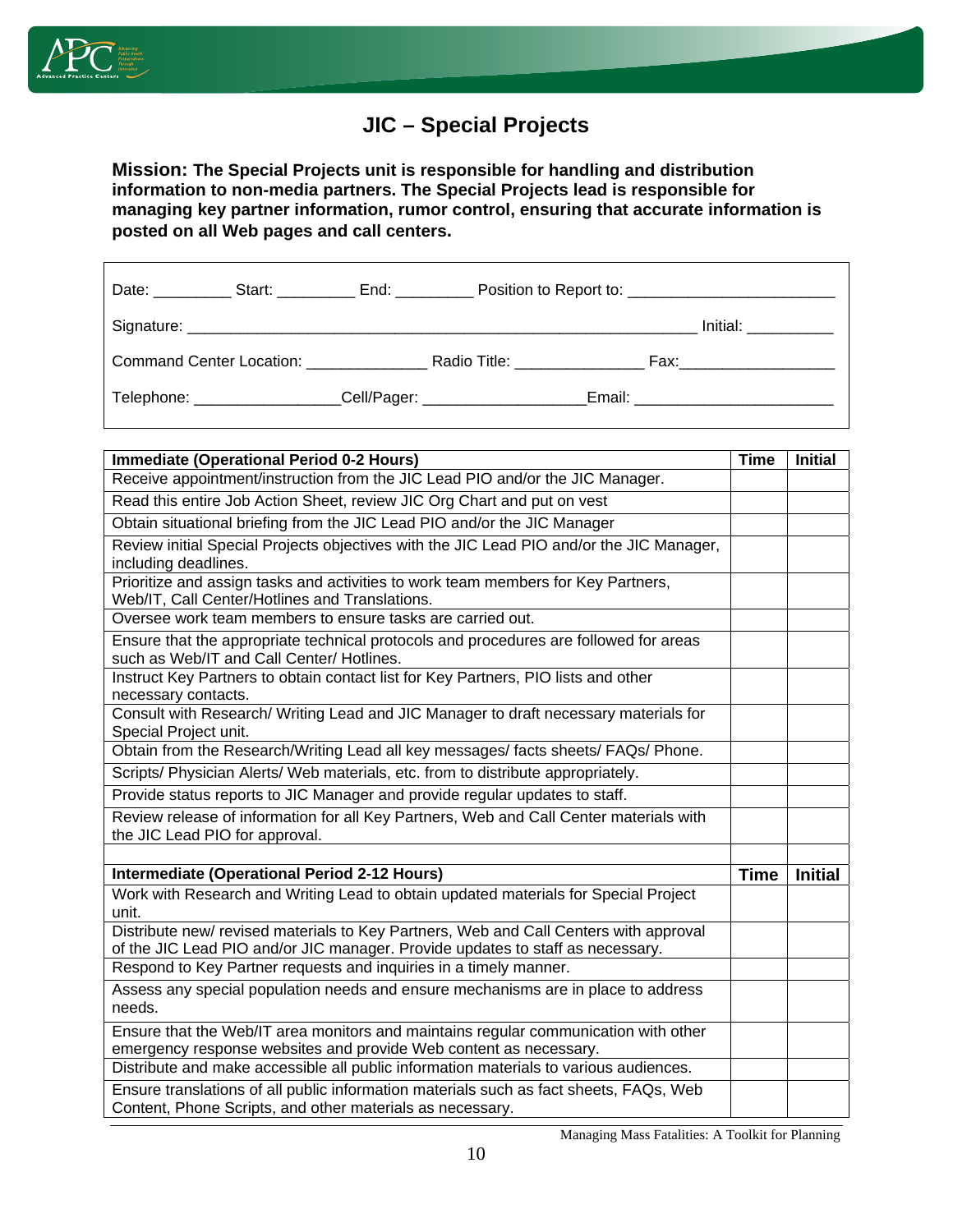

# **JIC – Special Projects**

**Mission: The Special Projects unit is responsible for handling and distribution information to non-media partners. The Special Projects lead is responsible for managing key partner information, rumor control, ensuring that accurate information is posted on all Web pages and call centers.**

|  | Command Center Location: Radio Title:                                                                         |  | Fax:____________________              |
|--|---------------------------------------------------------------------------------------------------------------|--|---------------------------------------|
|  | Telephone: Cell/Pager: Cell - Cell - Cell - Cell - Cell - Cell - Cell - Cell - Cell - Cell - Cell - Cell - Ce |  | Email: ______________________________ |

| <b>Immediate (Operational Period 0-2 Hours)</b>                                                                                                            | <b>Time</b> | <b>Initial</b> |
|------------------------------------------------------------------------------------------------------------------------------------------------------------|-------------|----------------|
| Receive appointment/instruction from the JIC Lead PIO and/or the JIC Manager.                                                                              |             |                |
| Read this entire Job Action Sheet, review JIC Org Chart and put on vest                                                                                    |             |                |
| Obtain situational briefing from the JIC Lead PIO and/or the JIC Manager                                                                                   |             |                |
| Review initial Special Projects objectives with the JIC Lead PIO and/or the JIC Manager,                                                                   |             |                |
| including deadlines.                                                                                                                                       |             |                |
| Prioritize and assign tasks and activities to work team members for Key Partners,<br>Web/IT, Call Center/Hotlines and Translations.                        |             |                |
| Oversee work team members to ensure tasks are carried out.                                                                                                 |             |                |
| Ensure that the appropriate technical protocols and procedures are followed for areas<br>such as Web/IT and Call Center/ Hotlines.                         |             |                |
| Instruct Key Partners to obtain contact list for Key Partners, PIO lists and other<br>necessary contacts.                                                  |             |                |
| Consult with Research/ Writing Lead and JIC Manager to draft necessary materials for<br>Special Project unit.                                              |             |                |
| Obtain from the Research/Writing Lead all key messages/facts sheets/ FAQs/ Phone.                                                                          |             |                |
| Scripts/ Physician Alerts/ Web materials, etc. from to distribute appropriately.                                                                           |             |                |
| Provide status reports to JIC Manager and provide regular updates to staff.                                                                                |             |                |
| Review release of information for all Key Partners, Web and Call Center materials with<br>the JIC Lead PIO for approval.                                   |             |                |
|                                                                                                                                                            |             |                |
| <b>Intermediate (Operational Period 2-12 Hours)</b>                                                                                                        | <b>Time</b> | <b>Initial</b> |
| Work with Research and Writing Lead to obtain updated materials for Special Project<br>unit.                                                               |             |                |
| Distribute new/ revised materials to Key Partners, Web and Call Centers with approval                                                                      |             |                |
| of the JIC Lead PIO and/or JIC manager. Provide updates to staff as necessary.                                                                             |             |                |
| Respond to Key Partner requests and inquiries in a timely manner.                                                                                          |             |                |
| Assess any special population needs and ensure mechanisms are in place to address                                                                          |             |                |
| needs.                                                                                                                                                     |             |                |
| Ensure that the Web/IT area monitors and maintains regular communication with other                                                                        |             |                |
| emergency response websites and provide Web content as necessary.<br>Distribute and make accessible all public information materials to various audiences. |             |                |
|                                                                                                                                                            |             |                |
| Ensure translations of all public information materials such as fact sheets, FAQs, Web<br>Content, Phone Scripts, and other materials as necessary.        |             |                |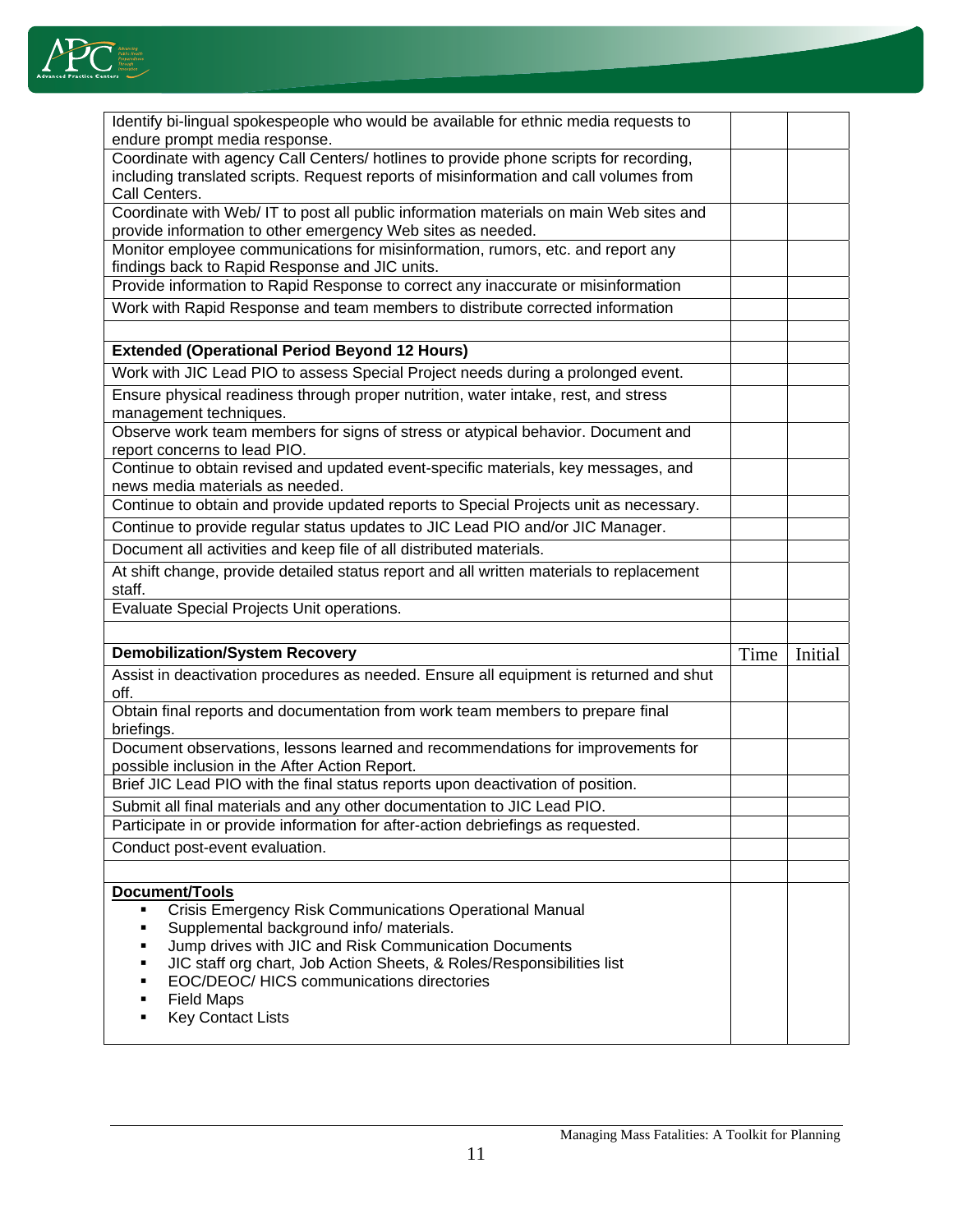

| Identify bi-lingual spokespeople who would be available for ethnic media requests to                                                                                           |      |         |
|--------------------------------------------------------------------------------------------------------------------------------------------------------------------------------|------|---------|
| endure prompt media response.                                                                                                                                                  |      |         |
| Coordinate with agency Call Centers/ hotlines to provide phone scripts for recording,<br>including translated scripts. Request reports of misinformation and call volumes from |      |         |
| Call Centers.                                                                                                                                                                  |      |         |
| Coordinate with Web/ IT to post all public information materials on main Web sites and<br>provide information to other emergency Web sites as needed.                          |      |         |
| Monitor employee communications for misinformation, rumors, etc. and report any                                                                                                |      |         |
| findings back to Rapid Response and JIC units.                                                                                                                                 |      |         |
| Provide information to Rapid Response to correct any inaccurate or misinformation                                                                                              |      |         |
| Work with Rapid Response and team members to distribute corrected information                                                                                                  |      |         |
|                                                                                                                                                                                |      |         |
| <b>Extended (Operational Period Beyond 12 Hours)</b>                                                                                                                           |      |         |
| Work with JIC Lead PIO to assess Special Project needs during a prolonged event.                                                                                               |      |         |
| Ensure physical readiness through proper nutrition, water intake, rest, and stress                                                                                             |      |         |
| management techniques.                                                                                                                                                         |      |         |
| Observe work team members for signs of stress or atypical behavior. Document and<br>report concerns to lead PIO.                                                               |      |         |
| Continue to obtain revised and updated event-specific materials, key messages, and                                                                                             |      |         |
| news media materials as needed.                                                                                                                                                |      |         |
| Continue to obtain and provide updated reports to Special Projects unit as necessary.                                                                                          |      |         |
| Continue to provide regular status updates to JIC Lead PIO and/or JIC Manager.                                                                                                 |      |         |
| Document all activities and keep file of all distributed materials.                                                                                                            |      |         |
| At shift change, provide detailed status report and all written materials to replacement                                                                                       |      |         |
| staff.                                                                                                                                                                         |      |         |
| Evaluate Special Projects Unit operations.                                                                                                                                     |      |         |
|                                                                                                                                                                                |      |         |
|                                                                                                                                                                                |      |         |
| <b>Demobilization/System Recovery</b>                                                                                                                                          | Time | Initial |
| Assist in deactivation procedures as needed. Ensure all equipment is returned and shut<br>off.                                                                                 |      |         |
| Obtain final reports and documentation from work team members to prepare final                                                                                                 |      |         |
| briefings.<br>Document observations, lessons learned and recommendations for improvements for                                                                                  |      |         |
| possible inclusion in the After Action Report.                                                                                                                                 |      |         |
| Brief JIC Lead PIO with the final status reports upon deactivation of position.                                                                                                |      |         |
| Submit all final materials and any other documentation to JIC Lead PIO.                                                                                                        |      |         |
| Participate in or provide information for after-action debriefings as requested.                                                                                               |      |         |
| Conduct post-event evaluation.                                                                                                                                                 |      |         |
|                                                                                                                                                                                |      |         |
| <b>Document/Tools</b><br>٠                                                                                                                                                     |      |         |
| Crisis Emergency Risk Communications Operational Manual<br>٠                                                                                                                   |      |         |
| Supplemental background info/ materials.<br>Jump drives with JIC and Risk Communication Documents                                                                              |      |         |
| JIC staff org chart, Job Action Sheets, & Roles/Responsibilities list<br>٠                                                                                                     |      |         |
| EOC/DEOC/ HICS communications directories                                                                                                                                      |      |         |
| <b>Field Maps</b><br><b>Key Contact Lists</b><br>٠                                                                                                                             |      |         |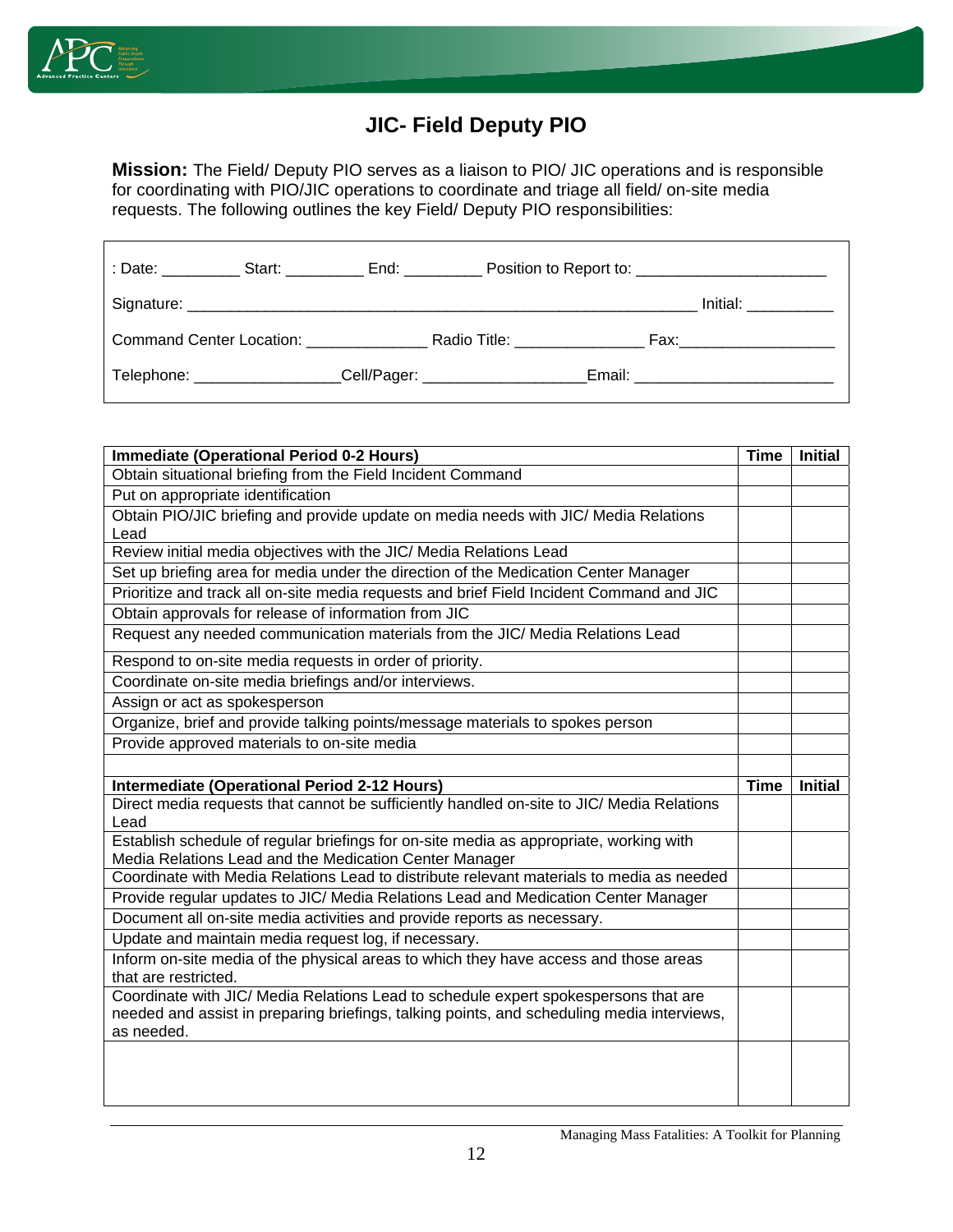

# **JIC- Field Deputy PIO**

**Mission:** The Field/ Deputy PIO serves as a liaison to PIO/ JIC operations and is responsible for coordinating with PIO/JIC operations to coordinate and triage all field/ on-site media requests. The following outlines the key Field/ Deputy PIO responsibilities:

|                                        | End: _________ |                                 |  |                                  |
|----------------------------------------|----------------|---------------------------------|--|----------------------------------|
|                                        |                |                                 |  | Initial: <b>Alice Structure</b>  |
| Command Center Location: _____________ |                | Radio Title: <b>Example 20</b>  |  | Fax:____________________         |
| Telephone: ________________            |                | _Cell/Pager: __________________ |  | Email: _________________________ |

| <b>Immediate (Operational Period 0-2 Hours)</b>                                                   | <b>Time</b> | <b>Initial</b> |
|---------------------------------------------------------------------------------------------------|-------------|----------------|
| Obtain situational briefing from the Field Incident Command                                       |             |                |
| Put on appropriate identification                                                                 |             |                |
| Obtain PIO/JIC briefing and provide update on media needs with JIC/ Media Relations               |             |                |
| Lead                                                                                              |             |                |
| Review initial media objectives with the JIC/ Media Relations Lead                                |             |                |
| Set up briefing area for media under the direction of the Medication Center Manager               |             |                |
| Prioritize and track all on-site media requests and brief Field Incident Command and JIC          |             |                |
| Obtain approvals for release of information from JIC                                              |             |                |
| Request any needed communication materials from the JIC/ Media Relations Lead                     |             |                |
| Respond to on-site media requests in order of priority.                                           |             |                |
| Coordinate on-site media briefings and/or interviews.                                             |             |                |
| Assign or act as spokesperson                                                                     |             |                |
| Organize, brief and provide talking points/message materials to spokes person                     |             |                |
| Provide approved materials to on-site media                                                       |             |                |
|                                                                                                   |             |                |
| <b>Intermediate (Operational Period 2-12 Hours)</b>                                               | <b>Time</b> | <b>Initial</b> |
| Direct media requests that cannot be sufficiently handled on-site to JIC/ Media Relations<br>Lead |             |                |
| Establish schedule of regular briefings for on-site media as appropriate, working with            |             |                |
| Media Relations Lead and the Medication Center Manager                                            |             |                |
| Coordinate with Media Relations Lead to distribute relevant materials to media as needed          |             |                |
| Provide regular updates to JIC/ Media Relations Lead and Medication Center Manager                |             |                |
| Document all on-site media activities and provide reports as necessary.                           |             |                |
| Update and maintain media request log, if necessary.                                              |             |                |
| Inform on-site media of the physical areas to which they have access and those areas              |             |                |
| that are restricted.                                                                              |             |                |
| Coordinate with JIC/ Media Relations Lead to schedule expert spokespersons that are               |             |                |
| needed and assist in preparing briefings, talking points, and scheduling media interviews,        |             |                |
| as needed.                                                                                        |             |                |
|                                                                                                   |             |                |
|                                                                                                   |             |                |